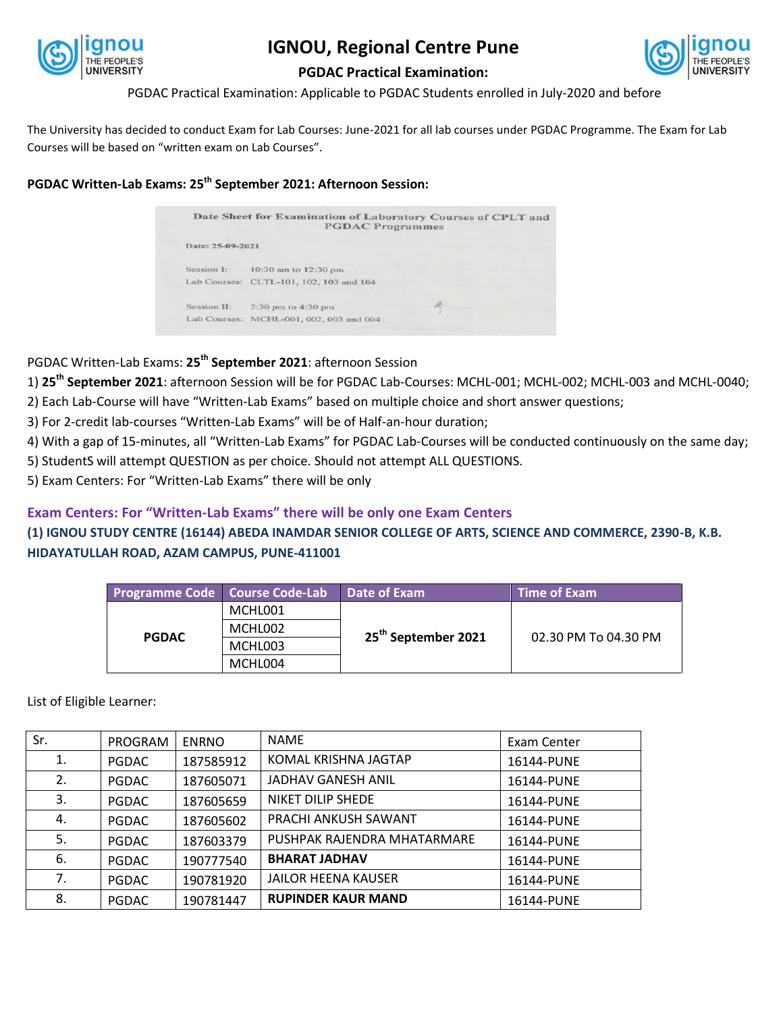

## **IGNOU, Regional Centre Pune**



## **PGDAC Practical Examination:**

PGDAC Practical Examination: Applicable to PGDAC Students enrolled in July-2020 and before

The University has decided to conduct Exam for Lab Courses: June-2021 for all lab courses under PGDAC Programme. The Exam for Lab Courses will be based on "written exam on Lab Courses".

**PGDAC Written-Lab Exams: 25th September 2021: Afternoon Session:**

|                  | Date Sheet for Examination of Laboratory Courses of CPLT and<br><b>PGDAC Programmes</b> |  |
|------------------|-----------------------------------------------------------------------------------------|--|
| Date: 25-09-2021 |                                                                                         |  |
| Session I:       | 10:30 am to 12:30 pm                                                                    |  |
|                  | Lab Courses: CLTL-101, 102, 103 and 104                                                 |  |
| Session II:      | 2:30 pm to 4:30 pm                                                                      |  |
|                  | Lab Courses: MCHL-001, 002, 003 and 004                                                 |  |

PGDAC Written-Lab Exams: **25th September 2021**: afternoon Session

1) **25th September 2021**: afternoon Session will be for PGDAC Lab-Courses: MCHL-001; MCHL-002; MCHL-003 and MCHL-0040;

- 2) Each Lab-Course will have "Written-Lab Exams" based on multiple choice and short answer questions;
- 3) For 2-credit lab-courses "Written-Lab Exams" will be of Half-an-hour duration;
- 4) With a gap of 15-minutes, all "Written-Lab Exams" for PGDAC Lab-Courses will be conducted continuously on the same day;
- 5) StudentS will attempt QUESTION as per choice. Should not attempt ALL QUESTIONS.
- 5) Exam Centers: For "Written-Lab Exams" there will be only

## **Exam Centers: For "Written-Lab Exams" there will be only one Exam Centers**

**(1) IGNOU STUDY CENTRE (16144) ABEDA INAMDAR SENIOR COLLEGE OF ARTS, SCIENCE AND COMMERCE, 2390-B, K.B. HIDAYATULLAH ROAD, AZAM CAMPUS, PUNE-411001**

|              | <b>Programme Code   Course Code-Lab</b> | Date of Exam                    | <b>Time of Exam</b>  |
|--------------|-----------------------------------------|---------------------------------|----------------------|
| <b>PGDAC</b> | MCHL001                                 | 25 <sup>th</sup> September 2021 | 02.30 PM To 04.30 PM |
|              | MCHL002                                 |                                 |                      |
|              | MCHL003                                 |                                 |                      |
|              | MCHL004                                 |                                 |                      |

List of Eligible Learner:

| Sr. | PROGRAM      | <b>ENRNO</b> | <b>NAME</b>                 | Exam Center |
|-----|--------------|--------------|-----------------------------|-------------|
| 1.  | <b>PGDAC</b> | 187585912    | KOMAL KRISHNA JAGTAP        | 16144-PUNE  |
| 2.  | <b>PGDAC</b> | 187605071    | JADHAV GANESH ANIL          | 16144-PUNE  |
| 3.  | <b>PGDAC</b> | 187605659    | NIKET DILIP SHEDE           | 16144-PUNE  |
| 4.  | <b>PGDAC</b> | 187605602    | PRACHI ANKUSH SAWANT        | 16144-PUNE  |
| 5.  | <b>PGDAC</b> | 187603379    | PUSHPAK RAJENDRA MHATARMARE | 16144-PUNE  |
| 6.  | <b>PGDAC</b> | 190777540    | <b>BHARAT JADHAV</b>        | 16144-PUNE  |
| 7.  | <b>PGDAC</b> | 190781920    | <b>JAILOR HEENA KAUSER</b>  | 16144-PUNE  |
| 8.  | <b>PGDAC</b> | 190781447    | <b>RUPINDER KAUR MAND</b>   | 16144-PUNE  |